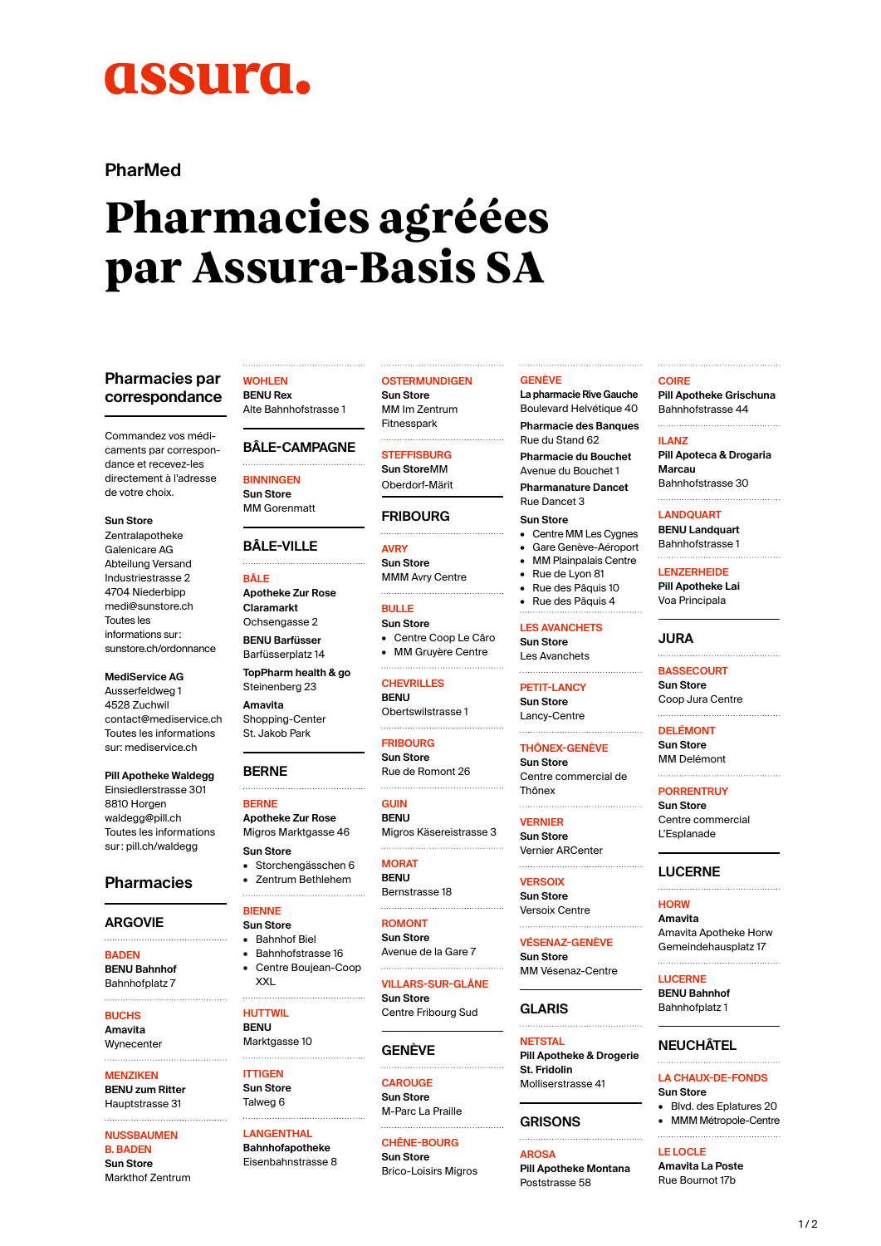# **ASSUITA.**

**PharMed**

# **Pharmacies agréées par Assura-Basis SA**

## **Pharmacies par correspondance**

Commandez vos médicaments par correspondance et recevez-les directement à l'adresse de votre choix.

- **Sun Store**
- Zentralapotheke Galenicare AG Abteilung Versand Industriestrasse 2 4704 Niederbipp [medi@sunstore.ch](mailto:medi@sunstore.ch) Toutes les informations sur: [sunstore.ch/ordonnance](http://sunstore.ch/ordonnance)

**MediService AG** Ausserfeldweg 1 4528 Zuchwil [contact@mediservice.ch](mailto:contact@mediservice.ch) Toutes les informations

sur: [mediservice.ch](https://www.mediservice.ch/fr/)

## **Pill Apotheke Waldegg**

Einsiedlerstrasse 301 8810 Horgen [waldegg@pill.ch](mailto:waldegg@pill.ch) Toutes les informations sur: [pill.ch/waldegg](https://www.pill.ch/standorte/pill-apotheke-waldegg.html)

## **Pharmacies**

## **ARGOVIE**

**BADEN BENU Bahnhof**

Bahnhofplatz 7 

**BUCHS Amavita Wynecenter** 

## **MENZIKEN**

**BENU zum Ritter** Hauptstrasse 31

## **NUSSBAUMEN**

**B. BADEN Sun Store** Markthof Zentrum

#### **WOHLEN BENU Rex**

Alte Bahnhofstrasse 1

## **BÂLE-CAMPAGNE**

**BINNINGEN Sun Store**

MM Gorenmatt

## **BÂLE-VILLE**

**BÂLE**

**Apotheke Zur Rose Claramarkt** Ochsengasse 2 **BENU Barfüsser** Barfüsserplatz 14

**TopPharm health & go** Steinenberg 23

**Amavita** Shopping-Center St. Jakob Park

**BERNE**

#### **BERNE Apotheke Zur Rose**

Migros Marktgasse 46 **Sun Store** • Storchengässchen 6

- Zentrum Bethlehem
- **BIENNE**
- **Sun Store**
- Bahnhof Biel • Bahnhofstrasse 16
- Centre Boujean-Coop
- 
- **HUTTWIL BENU** Marktgasse 10

XXL

- **ITTIGEN Sun Store**
- Talweg 6

**LANGENTHAL Bahnhofapotheke** Eisenbahnstrasse 8

## **OSTERMUNDIGEN**

**Sun Store** MM Im Zentrum Fitnesspark

## **STEFFISBURG**

**Sun Store**MM Oberdorf-Märit

## **FRIBOURG**

**AVRY Sun Store** MMM Avry Centre 

**BULLE Sun Store** • Centre Coop Le Câro • MM Gruyère Centre

**CHEVRILLES**

**BENU** Obertswilstrasse 1 

## **FRIBOURG**

**Sun Store** Rue de Romont 26

**GUIN BENU** Migros Käsereistrasse 3

**MORAT BENU** Bernstrasse 18

**ROMONT Sun Store**

Avenue de la Gare 7

**VILLARS-SUR-GLÂNE Sun Store** Centre Fribourg Sud

## **GENÈVE**

**CAROUGE Sun Store** M-Parc La Praille

**CHÊNE-BOURG Sun Store** Brico-Loisirs Migros

#### **GENÈVE**

**La pharmacie Rive Gauche** Boulevard Helvétique 40 **Pharmacie des Banques** Rue du Stand 62 **Pharmacie du Bouchet**

Avenue du Bouchet 1 **Pharmanature Dancet** Rue Dancet 3

#### **Sun Store**

- Centre MM Les Cygnes
- Gare Genève-Aéroport • MM Plainpalais Centre
- Rue de Lyon 81
- Rue des Pâquis 10
- Rue des Pâquis 4

## **LES AVANCHETS**

**Sun Store** Les Avanchets 

## **PETIT-LANCY**

**Sun Store** Lancy-Centre 

## **THÔNEX-GENÈVE**

**Sun Store** Centre commercial de Thônex

#### **VERNIER**

**Sun Store** Vernier ARCenter

**VERSOIX Sun Store** Versoix Centre

**VÉSENAZ-GENÈVE Sun Store**

MM Vésenaz-Centre

## **GLARIS**

**NETSTAL Pill Apotheke & Drogerie St. Fridolin** Molliserstrasse 41

# **GRISONS**

**AROSA Pill Apotheke Montana** Poststrasse 58

## **COIRE**

**Pill Apotheke Grischuna** Bahnhofstrasse 44 

#### **ILANZ**

**Pill Apoteca & Drogaria Marcau** Bahnhofstrasse 30

**LANDQUART**

**BENU Landquart** Bahnhofstrasse 1

**LENZERHEIDE Pill Apotheke Lai** Voa Principala

## **JURA**

**BASSECOURT Sun Store** Coop Jura Centre

**DELÉMONT Sun Store** MM Delémont

## **PORRENTRUY**

**Sun Store** Centre commercial L'Esplanade

## **LUCERNE**

**HORW Amavita** Amavita Apotheke Horw Gemeindehausplatz 17

 $1/2$ 

**LUCERNE**

**BENU Bahnhof** Bahnhofplatz 1

**NEUCHÂTEL**

**Sun Store**

**LE LOCLE Amavita La Poste** Rue Bournot 17b

**LA CHAUX-DE-FONDS**

• Blvd. des Eplatures 20 • MMM Métropole-Centre